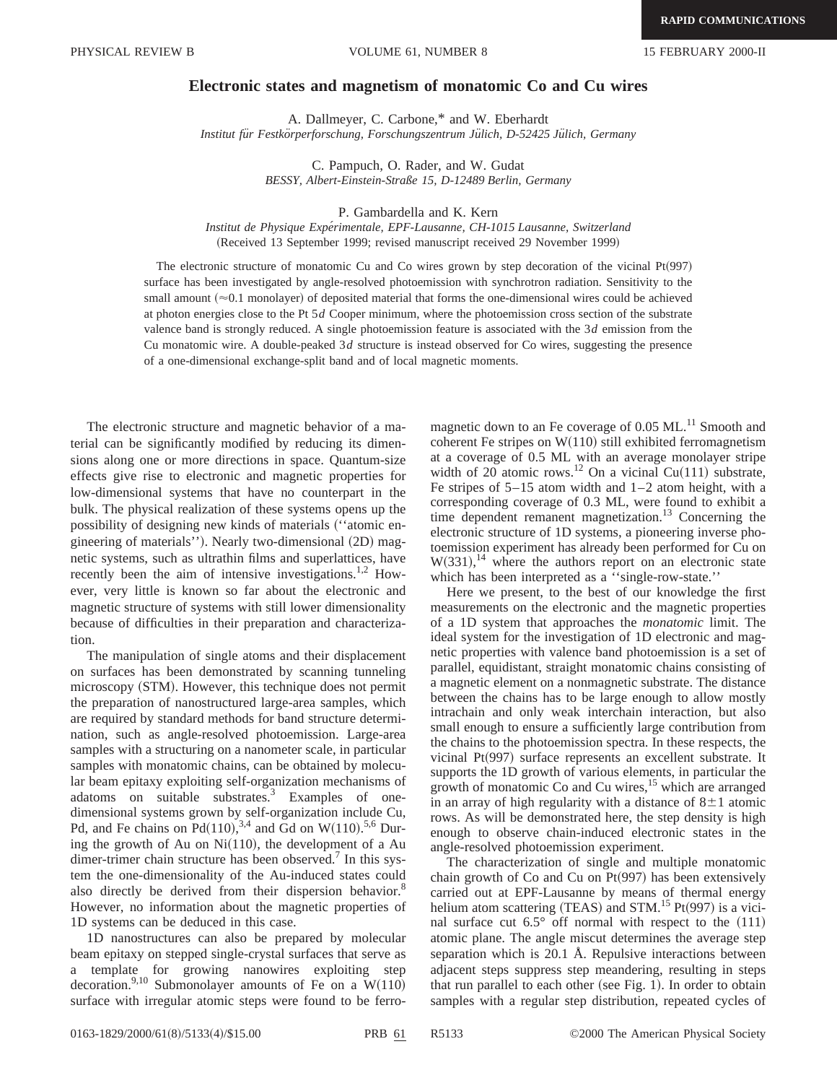## **Electronic states and magnetism of monatomic Co and Cu wires**

A. Dallmeyer, C. Carbone,\* and W. Eberhardt Institut für Festkörperforschung, Forschungszentrum Jülich, D-52425 Jülich, Germany

> C. Pampuch, O. Rader, and W. Gudat *BESSY, Albert-Einstein-Straße 15, D-12489 Berlin, Germany*

> > P. Gambardella and K. Kern

*Institut de Physique Expe´rimentale, EPF-Lausanne, CH-1015 Lausanne, Switzerland* (Received 13 September 1999; revised manuscript received 29 November 1999)

The electronic structure of monatomic Cu and Co wires grown by step decoration of the vicinal  $Pt(997)$ surface has been investigated by angle-resolved photoemission with synchrotron radiation. Sensitivity to the small amount  $(\approx 0.1$  monolayer) of deposited material that forms the one-dimensional wires could be achieved at photon energies close to the Pt 5*d* Cooper minimum, where the photoemission cross section of the substrate valence band is strongly reduced. A single photoemission feature is associated with the 3*d* emission from the Cu monatomic wire. A double-peaked 3*d* structure is instead observed for Co wires, suggesting the presence of a one-dimensional exchange-split band and of local magnetic moments.

The electronic structure and magnetic behavior of a material can be significantly modified by reducing its dimensions along one or more directions in space. Quantum-size effects give rise to electronic and magnetic properties for low-dimensional systems that have no counterpart in the bulk. The physical realization of these systems opens up the possibility of designing new kinds of materials ("atomic engineering of materials"). Nearly two-dimensional (2D) magnetic systems, such as ultrathin films and superlattices, have recently been the aim of intensive investigations.<sup>1,2</sup> However, very little is known so far about the electronic and magnetic structure of systems with still lower dimensionality because of difficulties in their preparation and characterization.

The manipulation of single atoms and their displacement on surfaces has been demonstrated by scanning tunneling microscopy (STM). However, this technique does not permit the preparation of nanostructured large-area samples, which are required by standard methods for band structure determination, such as angle-resolved photoemission. Large-area samples with a structuring on a nanometer scale, in particular samples with monatomic chains, can be obtained by molecular beam epitaxy exploiting self-organization mechanisms of adatoms on suitable substrates.<sup>3</sup> Examples of onedimensional systems grown by self-organization include Cu, Pd, and Fe chains on Pd $(110)$ , <sup>3,4</sup> and Gd on W $(110)$ .<sup>5,6</sup> During the growth of Au on  $Ni(110)$ , the development of a Au dimer-trimer chain structure has been observed.<sup>7</sup> In this system the one-dimensionality of the Au-induced states could also directly be derived from their dispersion behavior.<sup>8</sup> However, no information about the magnetic properties of 1D systems can be deduced in this case.

1D nanostructures can also be prepared by molecular beam epitaxy on stepped single-crystal surfaces that serve as a template for growing nanowires exploiting step decoration.<sup>9,10</sup> Submonolayer amounts of Fe on a  $W(110)$ surface with irregular atomic steps were found to be ferromagnetic down to an Fe coverage of  $0.05$  ML.<sup>11</sup> Smooth and coherent Fe stripes on  $W(110)$  still exhibited ferromagnetism at a coverage of 0.5 ML with an average monolayer stripe width of 20 atomic rows.<sup>12</sup> On a vicinal Cu(111) substrate, Fe stripes of  $5-15$  atom width and  $1-2$  atom height, with a corresponding coverage of 0.3 ML, were found to exhibit a time dependent remanent magnetization.<sup>13</sup> Concerning the electronic structure of 1D systems, a pioneering inverse photoemission experiment has already been performed for Cu on  $W(331),<sup>14</sup>$  where the authors report on an electronic state which has been interpreted as a ''single-row-state.''

Here we present, to the best of our knowledge the first measurements on the electronic and the magnetic properties of a 1D system that approaches the *monatomic* limit. The ideal system for the investigation of 1D electronic and magnetic properties with valence band photoemission is a set of parallel, equidistant, straight monatomic chains consisting of a magnetic element on a nonmagnetic substrate. The distance between the chains has to be large enough to allow mostly intrachain and only weak interchain interaction, but also small enough to ensure a sufficiently large contribution from the chains to the photoemission spectra. In these respects, the vicinal  $Pt(997)$  surface represents an excellent substrate. It supports the 1D growth of various elements, in particular the growth of monatomic Co and Cu wires,<sup>15</sup> which are arranged in an array of high regularity with a distance of  $8\pm1$  atomic rows. As will be demonstrated here, the step density is high enough to observe chain-induced electronic states in the angle-resolved photoemission experiment.

The characterization of single and multiple monatomic chain growth of Co and Cu on  $Pt(997)$  has been extensively carried out at EPF-Lausanne by means of thermal energy helium atom scattering (TEAS) and STM.<sup>15</sup> Pt $(997)$  is a vicinal surface cut  $6.5^{\circ}$  off normal with respect to the  $(111)$ atomic plane. The angle miscut determines the average step separation which is 20.1 Å. Repulsive interactions between adjacent steps suppress step meandering, resulting in steps that run parallel to each other (see Fig. 1). In order to obtain samples with a regular step distribution, repeated cycles of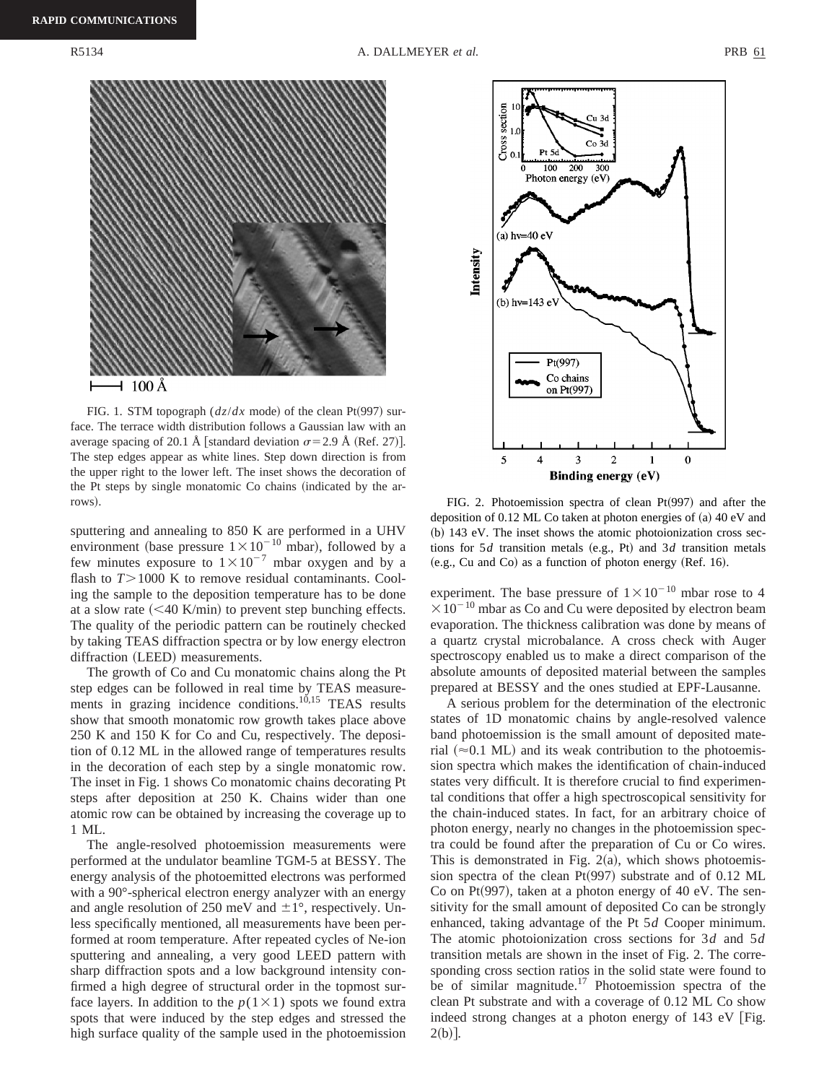

FIG. 1. STM topograph  $\left(\frac{dz}{dx} \mod 0\right)$  of the clean Pt(997) surface. The terrace width distribution follows a Gaussian law with an average spacing of 20.1 Å [standard deviation  $\sigma$ = 2.9 Å (Ref. 27)]. The step edges appear as white lines. Step down direction is from the upper right to the lower left. The inset shows the decoration of the Pt steps by single monatomic Co chains (indicated by the arrows). FIG. 2. Photoemission spectra of clean Pt(997) and after the

sputtering and annealing to 850 K are performed in a UHV environment (base pressure  $1 \times 10^{-10}$  mbar), followed by a few minutes exposure to  $1 \times 10^{-7}$  mbar oxygen and by a flash to  $T > 1000$  K to remove residual contaminants. Cooling the sample to the deposition temperature has to be done at a slow rate  $( $40$  K/min) to prevent step bunching effects.$ The quality of the periodic pattern can be routinely checked by taking TEAS diffraction spectra or by low energy electron diffraction (LEED) measurements.

The growth of Co and Cu monatomic chains along the Pt step edges can be followed in real time by TEAS measurements in grazing incidence conditions.<sup>10,15</sup> TEAS results show that smooth monatomic row growth takes place above 250 K and 150 K for Co and Cu, respectively. The deposition of 0.12 ML in the allowed range of temperatures results in the decoration of each step by a single monatomic row. The inset in Fig. 1 shows Co monatomic chains decorating Pt steps after deposition at 250 K. Chains wider than one atomic row can be obtained by increasing the coverage up to 1 ML.

The angle-resolved photoemission measurements were performed at the undulator beamline TGM-5 at BESSY. The energy analysis of the photoemitted electrons was performed with a 90°-spherical electron energy analyzer with an energy and angle resolution of 250 meV and  $\pm 1^{\circ}$ , respectively. Unless specifically mentioned, all measurements have been performed at room temperature. After repeated cycles of Ne-ion sputtering and annealing, a very good LEED pattern with sharp diffraction spots and a low background intensity confirmed a high degree of structural order in the topmost surface layers. In addition to the  $p(1\times1)$  spots we found extra spots that were induced by the step edges and stressed the high surface quality of the sample used in the photoemission



deposition of  $0.12$  ML Co taken at photon energies of  $(a)$  40 eV and  $~$  (b) 143 eV. The inset shows the atomic photoionization cross sections for  $5d$  transition metals (e.g., Pt) and  $3d$  transition metals  $(e.g., Cu and Co)$  as a function of photon energy  $(Ref. 16)$ .

experiment. The base pressure of  $1 \times 10^{-10}$  mbar rose to 4  $\times 10^{-10}$  mbar as Co and Cu were deposited by electron beam evaporation. The thickness calibration was done by means of a quartz crystal microbalance. A cross check with Auger spectroscopy enabled us to make a direct comparison of the absolute amounts of deposited material between the samples prepared at BESSY and the ones studied at EPF-Lausanne.

A serious problem for the determination of the electronic states of 1D monatomic chains by angle-resolved valence band photoemission is the small amount of deposited material  $(\approx 0.1 \text{ ML})$  and its weak contribution to the photoemission spectra which makes the identification of chain-induced states very difficult. It is therefore crucial to find experimental conditions that offer a high spectroscopical sensitivity for the chain-induced states. In fact, for an arbitrary choice of photon energy, nearly no changes in the photoemission spectra could be found after the preparation of Cu or Co wires. This is demonstrated in Fig.  $2(a)$ , which shows photoemission spectra of the clean  $Pt(997)$  substrate and of 0.12 ML Co on Pt $(997)$ , taken at a photon energy of 40 eV. The sensitivity for the small amount of deposited Co can be strongly enhanced, taking advantage of the Pt 5*d* Cooper minimum. The atomic photoionization cross sections for 3*d* and 5*d* transition metals are shown in the inset of Fig. 2. The corresponding cross section ratios in the solid state were found to be of similar magnitude.<sup>17</sup> Photoemission spectra of the clean Pt substrate and with a coverage of 0.12 ML Co show indeed strong changes at a photon energy of  $143 \text{ eV}$  [Fig.  $2(b)$ .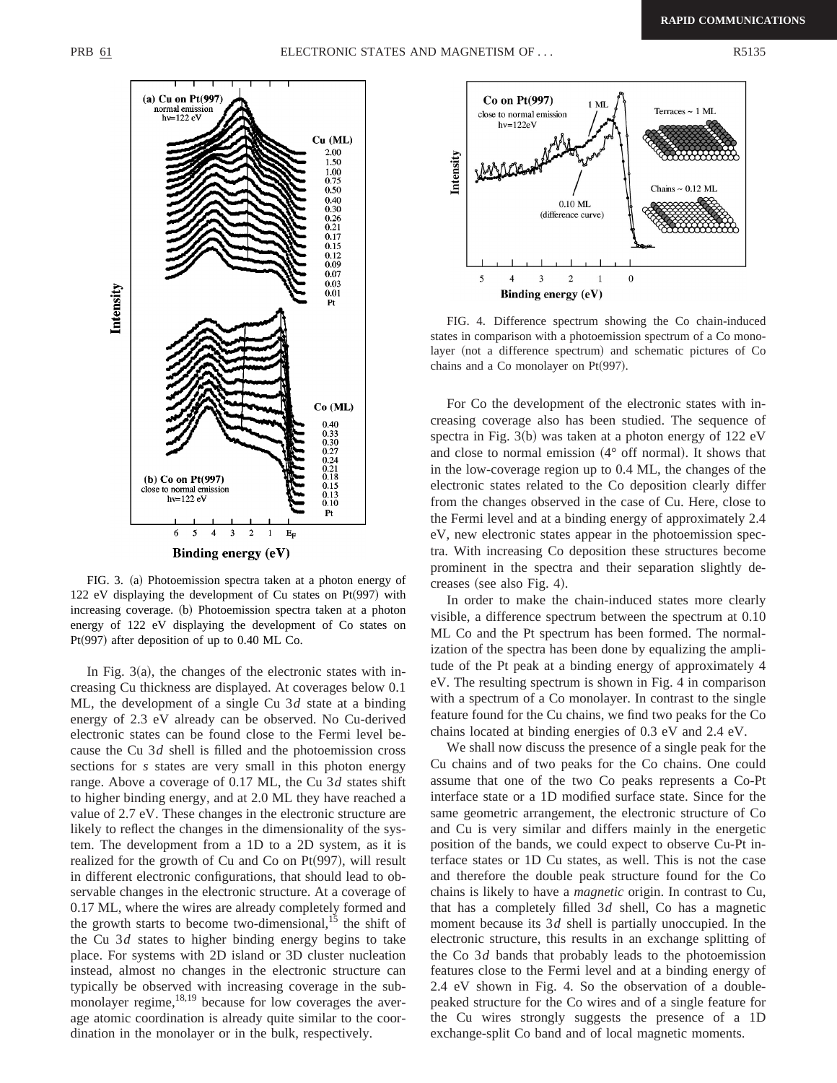

FIG. 3. (a) Photoemission spectra taken at a photon energy of 122 eV displaying the development of Cu states on  $Pt(997)$  with increasing coverage. (b) Photoemission spectra taken at a photon energy of 122 eV displaying the development of Co states on Pt $(997)$  after deposition of up to 0.40 ML Co.

In Fig.  $3(a)$ , the changes of the electronic states with increasing Cu thickness are displayed. At coverages below 0.1 ML, the development of a single Cu 3*d* state at a binding energy of 2.3 eV already can be observed. No Cu-derived electronic states can be found close to the Fermi level because the Cu 3*d* shell is filled and the photoemission cross sections for *s* states are very small in this photon energy range. Above a coverage of 0.17 ML, the Cu 3*d* states shift to higher binding energy, and at 2.0 ML they have reached a value of 2.7 eV. These changes in the electronic structure are likely to reflect the changes in the dimensionality of the system. The development from a 1D to a 2D system, as it is realized for the growth of Cu and Co on  $Pt(997)$ , will result in different electronic configurations, that should lead to observable changes in the electronic structure. At a coverage of 0.17 ML, where the wires are already completely formed and the growth starts to become two-dimensional, $^{15}$  the shift of the Cu 3*d* states to higher binding energy begins to take place. For systems with 2D island or 3D cluster nucleation instead, almost no changes in the electronic structure can typically be observed with increasing coverage in the submonolayer regime, $18,19$  because for low coverages the average atomic coordination is already quite similar to the coordination in the monolayer or in the bulk, respectively.



FIG. 4. Difference spectrum showing the Co chain-induced states in comparison with a photoemission spectrum of a Co monolayer (not a difference spectrum) and schematic pictures of Co chains and a Co monolayer on  $Pt(997)$ .

For Co the development of the electronic states with increasing coverage also has been studied. The sequence of spectra in Fig.  $3(b)$  was taken at a photon energy of 122 eV and close to normal emission  $(4^{\circ}$  off normal). It shows that in the low-coverage region up to 0.4 ML, the changes of the electronic states related to the Co deposition clearly differ from the changes observed in the case of Cu. Here, close to the Fermi level and at a binding energy of approximately 2.4 eV, new electronic states appear in the photoemission spectra. With increasing Co deposition these structures become prominent in the spectra and their separation slightly decreases (see also Fig. 4).

In order to make the chain-induced states more clearly visible, a difference spectrum between the spectrum at 0.10 ML Co and the Pt spectrum has been formed. The normalization of the spectra has been done by equalizing the amplitude of the Pt peak at a binding energy of approximately 4 eV. The resulting spectrum is shown in Fig. 4 in comparison with a spectrum of a Co monolayer. In contrast to the single feature found for the Cu chains, we find two peaks for the Co chains located at binding energies of 0.3 eV and 2.4 eV.

We shall now discuss the presence of a single peak for the Cu chains and of two peaks for the Co chains. One could assume that one of the two Co peaks represents a Co-Pt interface state or a 1D modified surface state. Since for the same geometric arrangement, the electronic structure of Co and Cu is very similar and differs mainly in the energetic position of the bands, we could expect to observe Cu-Pt interface states or 1D Cu states, as well. This is not the case and therefore the double peak structure found for the Co chains is likely to have a *magnetic* origin. In contrast to Cu, that has a completely filled 3*d* shell, Co has a magnetic moment because its 3*d* shell is partially unoccupied. In the electronic structure, this results in an exchange splitting of the Co 3*d* bands that probably leads to the photoemission features close to the Fermi level and at a binding energy of 2.4 eV shown in Fig. 4. So the observation of a doublepeaked structure for the Co wires and of a single feature for the Cu wires strongly suggests the presence of a 1D exchange-split Co band and of local magnetic moments.